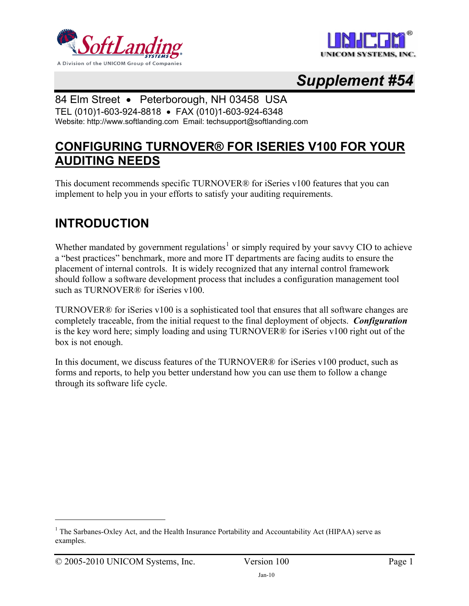



# *Supplement #54*

### 84 Elm Street • Peterborough, NH 03458 USA

TEL (010)1-603-924-8818 • FAX (010)1-603-924-6348 Website: http://www.softlanding.com Email: techsupport@softlanding.com

# **CONFIGURING TURNOVER® FOR ISERIES V100 FOR YOUR AUDITING NEEDS**

This document recommends specific TURNOVER® for iSeries v100 features that you can implement to help you in your efforts to satisfy your auditing requirements.

# **INTRODUCTION**

Whether mandated by government regulations<sup>[1](#page-0-0)</sup> or simply required by your savvy CIO to achieve a "best practices" benchmark, more and more IT departments are facing audits to ensure the placement of internal controls. It is widely recognized that any internal control framework should follow a software development process that includes a configuration management tool such as TURNOVER® for iSeries v100.

TURNOVER® for iSeries v100 is a sophisticated tool that ensures that all software changes are completely traceable, from the initial request to the final deployment of objects. *Configuration* is the key word here; simply loading and using TURNOVER® for iSeries v100 right out of the box is not enough.

In this document, we discuss features of the TURNOVER® for iSeries v100 product, such as forms and reports, to help you better understand how you can use them to follow a change through its software life cycle.

 $\overline{a}$ 

<span id="page-0-0"></span><sup>&</sup>lt;sup>1</sup> The Sarbanes-Oxley Act, and the Health Insurance Portability and Accountability Act (HIPAA) serve as examples.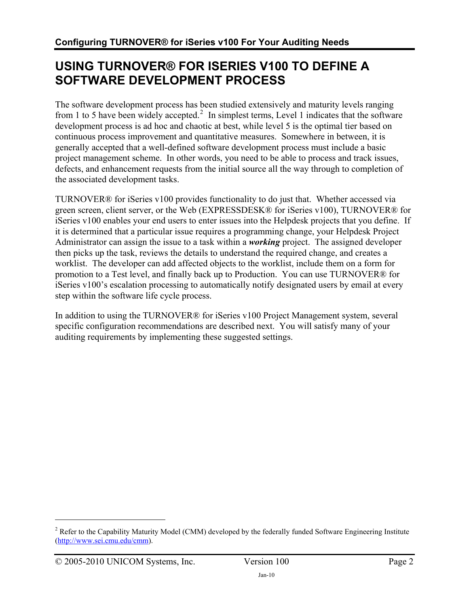# **USING TURNOVER® FOR ISERIES V100 TO DEFINE A SOFTWARE DEVELOPMENT PROCESS**

The software development process has been studied extensively and maturity levels ranging from 1 to 5 have been widely accepted.<sup>[2](#page-1-0)</sup> In simplest terms, Level 1 indicates that the software development process is ad hoc and chaotic at best, while level 5 is the optimal tier based on continuous process improvement and quantitative measures. Somewhere in between, it is generally accepted that a well-defined software development process must include a basic project management scheme. In other words, you need to be able to process and track issues, defects, and enhancement requests from the initial source all the way through to completion of the associated development tasks.

TURNOVER® for iSeries v100 provides functionality to do just that. Whether accessed via green screen, client server, or the Web (EXPRESSDESK® for iSeries v100), TURNOVER® for iSeries v100 enables your end users to enter issues into the Helpdesk projects that you define. If it is determined that a particular issue requires a programming change, your Helpdesk Project Administrator can assign the issue to a task within a *working* project. The assigned developer then picks up the task, reviews the details to understand the required change, and creates a worklist. The developer can add affected objects to the worklist, include them on a form for promotion to a Test level, and finally back up to Production. You can use TURNOVER® for iSeries v100's escalation processing to automatically notify designated users by email at every step within the software life cycle process.

In addition to using the TURNOVER® for iSeries v100 Project Management system, several specific configuration recommendations are described next. You will satisfy many of your auditing requirements by implementing these suggested settings.

 $\overline{a}$ 

<span id="page-1-0"></span><sup>&</sup>lt;sup>2</sup> Refer to the Capability Maturity Model (CMM) developed by the federally funded Software Engineering Institute [\(http://www.sei.cmu.edu/cmm\)](http://www.sei.cmu.edu/cmm).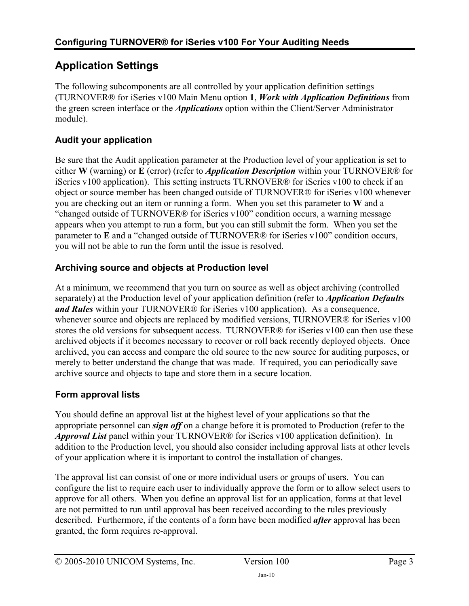## **Application Settings**

The following subcomponents are all controlled by your application definition settings (TURNOVER® for iSeries v100 Main Menu option **1**, *Work with Application Definitions* from the green screen interface or the *Applications* option within the Client/Server Administrator module).

#### **Audit your application**

Be sure that the Audit application parameter at the Production level of your application is set to either **W** (warning) or **E** (error) (refer to *Application Description* within your TURNOVER® for iSeries v100 application). This setting instructs TURNOVER® for iSeries v100 to check if an object or source member has been changed outside of TURNOVER® for iSeries v100 whenever you are checking out an item or running a form. When you set this parameter to **W** and a "changed outside of TURNOVER® for iSeries v100" condition occurs, a warning message appears when you attempt to run a form, but you can still submit the form. When you set the parameter to **E** and a "changed outside of TURNOVER® for iSeries v100" condition occurs, you will not be able to run the form until the issue is resolved.

#### **Archiving source and objects at Production level**

At a minimum, we recommend that you turn on source as well as object archiving (controlled separately) at the Production level of your application definition (refer to *Application Defaults and Rules* within your TURNOVER® for iSeries v100 application). As a consequence, whenever source and objects are replaced by modified versions, TURNOVER® for iSeries v100 stores the old versions for subsequent access. TURNOVER® for iSeries v100 can then use these archived objects if it becomes necessary to recover or roll back recently deployed objects. Once archived, you can access and compare the old source to the new source for auditing purposes, or merely to better understand the change that was made. If required, you can periodically save archive source and objects to tape and store them in a secure location.

#### **Form approval lists**

You should define an approval list at the highest level of your applications so that the appropriate personnel can *sign off* on a change before it is promoted to Production (refer to the *Approval List* panel within your TURNOVER® for iSeries v100 application definition). In addition to the Production level, you should also consider including approval lists at other levels of your application where it is important to control the installation of changes.

The approval list can consist of one or more individual users or groups of users. You can configure the list to require each user to individually approve the form or to allow select users to approve for all others. When you define an approval list for an application, forms at that level are not permitted to run until approval has been received according to the rules previously described. Furthermore, if the contents of a form have been modified *after* approval has been granted, the form requires re-approval.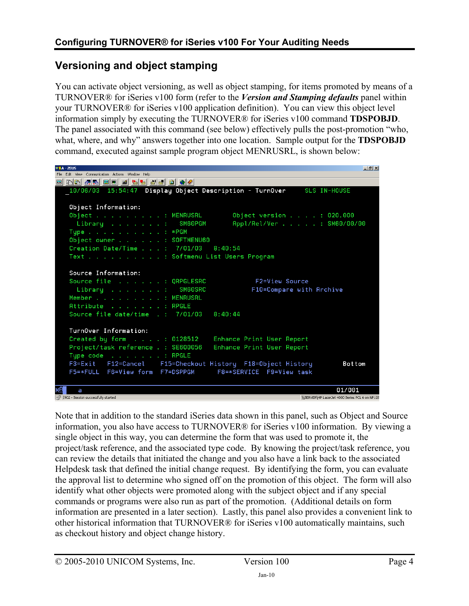### **Versioning and object stamping**

You can activate object versioning, as well as object stamping, for items promoted by means of a TURNOVER® for iSeries v100 form (refer to the *Version and Stamping defaults* panel within your TURNOVER® for iSeries v100 application definition). You can view this object level information simply by executing the TURNOVER® for iSeries v100 command **TDSPOBJD**. The panel associated with this command (see below) effectively pulls the post-promotion "who, what, where, and why" answers together into one location. Sample output for the **TDSPOBJD** command, executed against sample program object MENRUSRL, is shown below:

```
BLA - ZEUS
                                                                                      -10 \timesFile Edit View Communication Actions Window Help
<u>o bb from edition of the co</u>
  10/06/03 15:54:47 Display Object Description - TurnOver
                                                                     SLS IN-HOUSE
    Object Information:
    Object . . . . . . . . . : MENRUSRL
                                                 Object version . . . . : 020.000
     Library . . . . . . . : SM60PGM
                                                 Appl/Rel/Ver . . . . . : SM60/00/00
   Type . . . . . . . . . . . . *PGM
   Object owner . . . . . . : SOFTMENU60
    Creation Date/Time . . . : 7/01/03 8:40:54
    Text . . . . . . . . . . : Softmenu List Users Program
   Source Information:
   Source file . . . . . . : QRPGLESRC
                                                       F2=View Source
     Library . . . . . . . : SM60SRC
                                                      F10=Compare with Archive
   Member . . . . . . . . . . HENRUSRL
   Attribute . . . . . . . : RPGLE
    Source file date/time . : 7/01/03
                                            8:40:44TurnOver Information:
   Created by form . . . . : 0128512
                                            Enhance Print User Report
   Project/task reference . : SE600056
                                           Enhance Print User Report
   Type \verb|code| , , , , , , , ; RPGLE
              F12=Cancel
    F3=Exit
                            F15=Checkout History F18=Object History
                                                                                Bottom
                                             F8=*SERVICE F9=View task
    F5=*FULL F6=View form F7=DSPPGM
                                                                              01/001
    a
50 1902 - Session successfully started
                                                                    WSERVER\HP Laser let 4000 Series PCL 6 on NP128
```
Note that in addition to the standard iSeries data shown in this panel, such as Object and Source information, you also have access to TURNOVER® for iSeries v100 information. By viewing a single object in this way, you can determine the form that was used to promote it, the project/task reference, and the associated type code. By knowing the project/task reference, you can review the details that initiated the change and you also have a link back to the associated Helpdesk task that defined the initial change request. By identifying the form, you can evaluate the approval list to determine who signed off on the promotion of this object. The form will also identify what other objects were promoted along with the subject object and if any special commands or programs were also run as part of the promotion. (Additional details on form information are presented in a later section). Lastly, this panel also provides a convenient link to other historical information that TURNOVER® for iSeries v100 automatically maintains, such as checkout history and object change history.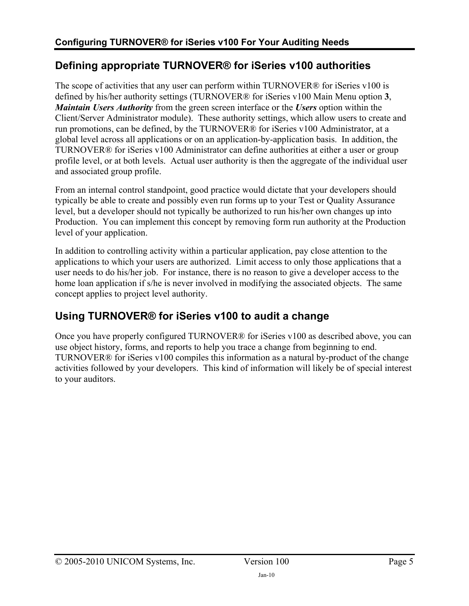### **Defining appropriate TURNOVER® for iSeries v100 authorities**

The scope of activities that any user can perform within TURNOVER® for iSeries v100 is defined by his/her authority settings (TURNOVER® for iSeries v100 Main Menu option **3**, *Maintain Users Authority* from the green screen interface or the *Users* option within the Client/Server Administrator module). These authority settings, which allow users to create and run promotions, can be defined, by the TURNOVER® for iSeries v100 Administrator, at a global level across all applications or on an application-by-application basis. In addition, the TURNOVER® for iSeries v100 Administrator can define authorities at either a user or group profile level, or at both levels. Actual user authority is then the aggregate of the individual user and associated group profile.

From an internal control standpoint, good practice would dictate that your developers should typically be able to create and possibly even run forms up to your Test or Quality Assurance level, but a developer should not typically be authorized to run his/her own changes up into Production. You can implement this concept by removing form run authority at the Production level of your application.

In addition to controlling activity within a particular application, pay close attention to the applications to which your users are authorized. Limit access to only those applications that a user needs to do his/her job. For instance, there is no reason to give a developer access to the home loan application if s/he is never involved in modifying the associated objects. The same concept applies to project level authority.

### **Using TURNOVER® for iSeries v100 to audit a change**

Once you have properly configured TURNOVER® for iSeries v100 as described above, you can use object history, forms, and reports to help you trace a change from beginning to end. TURNOVER® for iSeries v100 compiles this information as a natural by-product of the change activities followed by your developers. This kind of information will likely be of special interest to your auditors.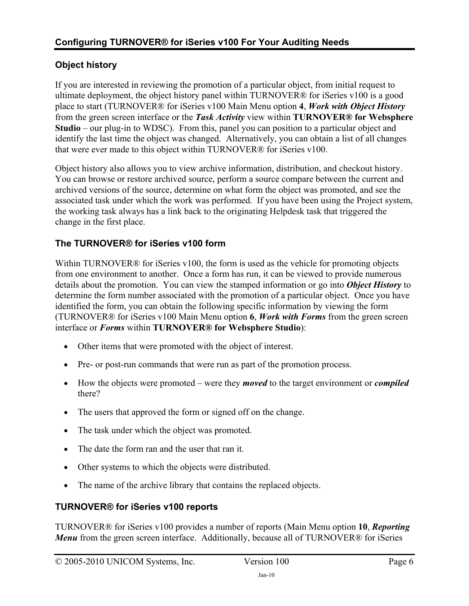#### **Object history**

If you are interested in reviewing the promotion of a particular object, from initial request to ultimate deployment, the object history panel within TURNOVER® for iSeries v100 is a good place to start (TURNOVER® for iSeries v100 Main Menu option **4**, *Work with Object History*  from the green screen interface or the *Task Activity* view within **TURNOVER® for Websphere Studio** – our plug-in to WDSC). From this, panel you can position to a particular object and identify the last time the object was changed. Alternatively, you can obtain a list of all changes that were ever made to this object within TURNOVER® for iSeries v100.

Object history also allows you to view archive information, distribution, and checkout history. You can browse or restore archived source, perform a source compare between the current and archived versions of the source, determine on what form the object was promoted, and see the associated task under which the work was performed. If you have been using the Project system, the working task always has a link back to the originating Helpdesk task that triggered the change in the first place.

#### **The TURNOVER® for iSeries v100 form**

Within TURNOVER<sup>®</sup> for iSeries v100, the form is used as the vehicle for promoting objects from one environment to another. Once a form has run, it can be viewed to provide numerous details about the promotion. You can view the stamped information or go into *Object History* to determine the form number associated with the promotion of a particular object. Once you have identified the form, you can obtain the following specific information by viewing the form (TURNOVER® for iSeries v100 Main Menu option **6**, *Work with Forms* from the green screen interface or *Forms* within **TURNOVER® for Websphere Studio**):

- Other items that were promoted with the object of interest.
- Pre- or post-run commands that were run as part of the promotion process.
- How the objects were promoted were they *moved* to the target environment or *compiled* there?
- The users that approved the form or signed off on the change.
- The task under which the object was promoted.
- The date the form ran and the user that ran it.
- Other systems to which the objects were distributed.
- The name of the archive library that contains the replaced objects.

#### **TURNOVER® for iSeries v100 reports**

TURNOVER® for iSeries v100 provides a number of reports (Main Menu option **10**, *Reporting Menu* from the green screen interface. Additionally, because all of TURNOVER® for iSeries